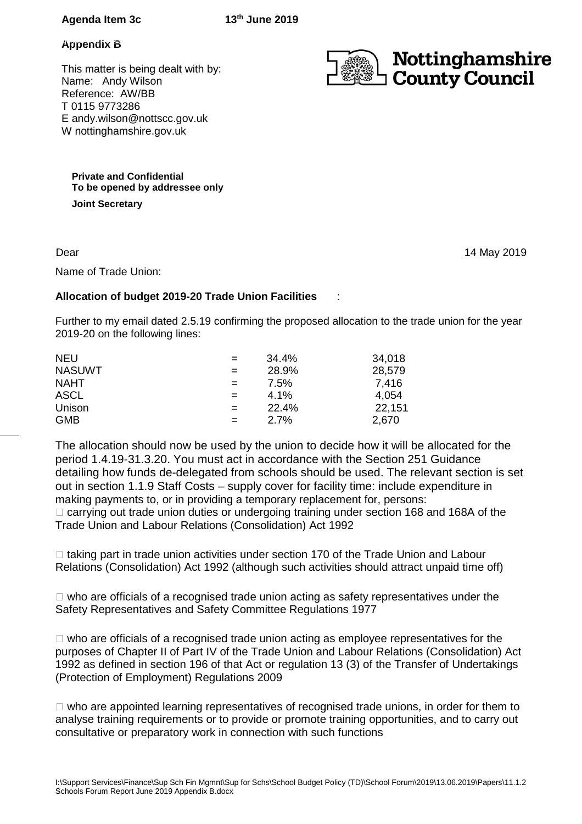# **Agenda Item 3c 13th June 2019**

### **Appendix B**

This matter is being dealt with by: Name: Andy Wilson Reference: AW/BB T 0115 9773286 E andy.wilson@nottscc.gov.uk W nottinghamshire.gov.uk



**Private and Confidential To be opened by addressee only Joint Secretary** 

Dear

14 May 2019

Name of Trade Union:

# **Allocation of budget 2019-20 Trade Union Facilities** :

Further to my email dated 2.5.19 confirming the proposed allocation to the trade union for the year 2019-20 on the following lines:

| <b>NEU</b>    | $=$ | 34.4% | 34,018 |
|---------------|-----|-------|--------|
| <b>NASUWT</b> | $=$ | 28.9% | 28,579 |
| <b>NAHT</b>   | $=$ | 7.5%  | 7,416  |
| ASCL          | $=$ | 4.1%  | 4,054  |
| Unison        | $=$ | 22.4% | 22,151 |
| <b>GMB</b>    | $=$ | 2.7%  | 2,670  |

The allocation should now be used by the union to decide how it will be allocated for the period 1.4.19-31.3.20. You must act in accordance with the Section 251 Guidance detailing how funds de-delegated from schools should be used. The relevant section is set out in section 1.1.9 Staff Costs – supply cover for facility time: include expenditure in making payments to, or in providing a temporary replacement for, persons:

 carrying out trade union duties or undergoing training under section 168 and 168A of the Trade Union and Labour Relations (Consolidation) Act 1992

 taking part in trade union activities under section 170 of the Trade Union and Labour Relations (Consolidation) Act 1992 (although such activities should attract unpaid time off)

 who are officials of a recognised trade union acting as safety representatives under the Safety Representatives and Safety Committee Regulations 1977

 who are officials of a recognised trade union acting as employee representatives for the purposes of Chapter II of Part IV of the Trade Union and Labour Relations (Consolidation) Act 1992 as defined in section 196 of that Act or regulation 13 (3) of the Transfer of Undertakings (Protection of Employment) Regulations 2009

 who are appointed learning representatives of recognised trade unions, in order for them to analyse training requirements or to provide or promote training opportunities, and to carry out consultative or preparatory work in connection with such functions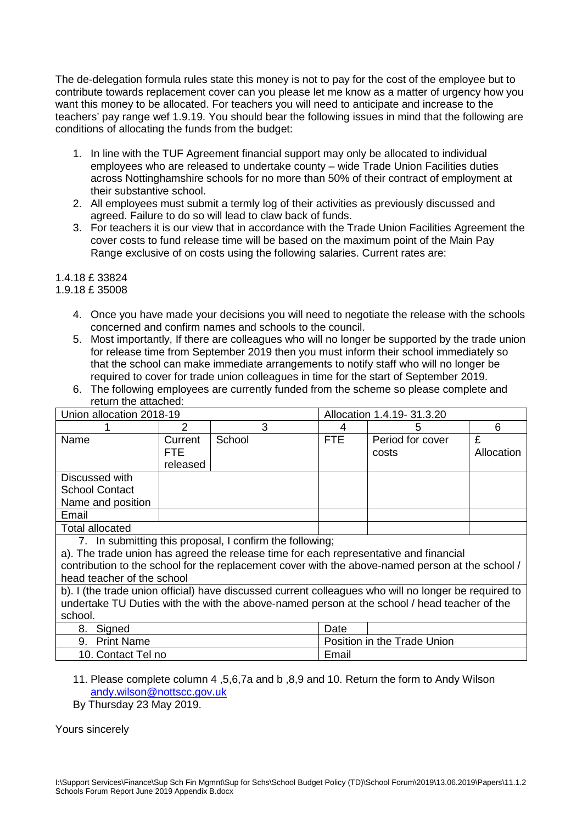The de-delegation formula rules state this money is not to pay for the cost of the employee but to contribute towards replacement cover can you please let me know as a matter of urgency how you want this money to be allocated. For teachers you will need to anticipate and increase to the teachers' pay range wef 1.9.19. You should bear the following issues in mind that the following are conditions of allocating the funds from the budget:

- 1. In line with the TUF Agreement financial support may only be allocated to individual employees who are released to undertake county – wide Trade Union Facilities duties across Nottinghamshire schools for no more than 50% of their contract of employment at their substantive school.
- 2. All employees must submit a termly log of their activities as previously discussed and agreed. Failure to do so will lead to claw back of funds.
- 3. For teachers it is our view that in accordance with the Trade Union Facilities Agreement the cover costs to fund release time will be based on the maximum point of the Main Pay Range exclusive of on costs using the following salaries. Current rates are:

# 1.4.18 £ 33824

# 1.9.18 £ 35008

- 4. Once you have made your decisions you will need to negotiate the release with the schools concerned and confirm names and schools to the council.
- 5. Most importantly, If there are colleagues who will no longer be supported by the trade union for release time from September 2019 then you must inform their school immediately so that the school can make immediate arrangements to notify staff who will no longer be required to cover for trade union colleagues in time for the start of September 2019.
- 6. The following employees are currently funded from the scheme so please complete and return the attached:

| Union allocation 2018-19                                                                             |                | Allocation 1.4.19-31.3.20 |                             |                  |            |  |
|------------------------------------------------------------------------------------------------------|----------------|---------------------------|-----------------------------|------------------|------------|--|
|                                                                                                      | $\overline{2}$ | 3                         | 4                           | 5                | 6          |  |
| Name                                                                                                 | Current        | School                    | <b>FTE</b>                  | Period for cover | £          |  |
|                                                                                                      | <b>FTE</b>     |                           |                             | costs            | Allocation |  |
|                                                                                                      | released       |                           |                             |                  |            |  |
| Discussed with                                                                                       |                |                           |                             |                  |            |  |
| <b>School Contact</b>                                                                                |                |                           |                             |                  |            |  |
| Name and position                                                                                    |                |                           |                             |                  |            |  |
| Email                                                                                                |                |                           |                             |                  |            |  |
| <b>Total allocated</b>                                                                               |                |                           |                             |                  |            |  |
| 7. In submitting this proposal, I confirm the following;                                             |                |                           |                             |                  |            |  |
| a). The trade union has agreed the release time for each representative and financial                |                |                           |                             |                  |            |  |
| contribution to the school for the replacement cover with the above-named person at the school /     |                |                           |                             |                  |            |  |
| head teacher of the school                                                                           |                |                           |                             |                  |            |  |
| b). I (the trade union official) have discussed current colleagues who will no longer be required to |                |                           |                             |                  |            |  |
| undertake TU Duties with the with the above-named person at the school / head teacher of the         |                |                           |                             |                  |            |  |
| school.                                                                                              |                |                           |                             |                  |            |  |
| Signed<br>8.                                                                                         |                |                           | Date                        |                  |            |  |
| <b>Print Name</b><br>9.                                                                              |                |                           | Position in the Trade Union |                  |            |  |
| 10. Contact Tel no                                                                                   |                |                           | Email                       |                  |            |  |

# 11. Please complete column 4 ,5,6,7a and b ,8,9 and 10. Return the form to Andy Wilson andy.wilson@nottscc.gov.uk

By Thursday 23 May 2019.

Yours sincerely